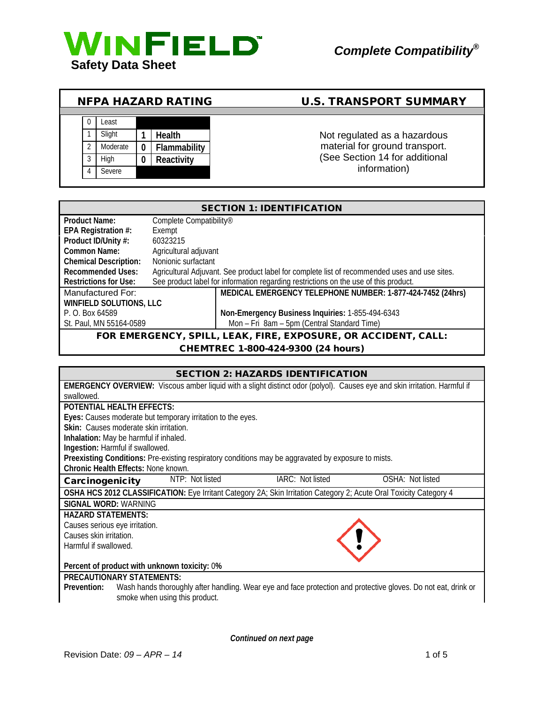

|                |             | <b>NFPA HAZARD RATING</b> | <b>U.S. TRANSPORT SUMMARY</b>  |
|----------------|-------------|---------------------------|--------------------------------|
|                |             |                           |                                |
|                | _east       |                           |                                |
|                | Slight      | <b>Health</b>             | Not regulated as a hazardous   |
| $\mathfrak{D}$ | Moderate    | Flammability              | material for ground transport. |
| 3              | <b>High</b> | Reactivity                | (See Section 14 for additional |
| 4              | Severe      |                           | information)                   |

|                                                                | <b>SECTION 1: IDENTIFICATION</b>    |                                                                                               |  |  |  |
|----------------------------------------------------------------|-------------------------------------|-----------------------------------------------------------------------------------------------|--|--|--|
| <b>Product Name:</b>                                           | Complete Compatibility <sup>®</sup> |                                                                                               |  |  |  |
| EPA Registration #:                                            | Exempt                              |                                                                                               |  |  |  |
| Product ID/Unity #:                                            | 60323215                            |                                                                                               |  |  |  |
| Common Name:<br>Agricultural adjuvant                          |                                     |                                                                                               |  |  |  |
| <b>Chemical Description:</b>                                   | Nonionic surfactant                 |                                                                                               |  |  |  |
| <b>Recommended Uses:</b>                                       |                                     | Agricultural Adjuvant. See product label for complete list of recommended uses and use sites. |  |  |  |
| <b>Restrictions for Use:</b>                                   |                                     | See product label for information regarding restrictions on the use of this product.          |  |  |  |
| Manufactured For:                                              |                                     | MEDICAL EMERGENCY TELEPHONE NUMBER: 1-877-424-7452 (24hrs)                                    |  |  |  |
| WINFIELD SOLUTIONS, LLC                                        |                                     |                                                                                               |  |  |  |
| P. O. Box 64589                                                |                                     | Non-Emergency Business Inquiries: 1-855-494-6343                                              |  |  |  |
| St. Paul, MN 55164-0589                                        |                                     | Mon - Fri 8am - 5pm (Central Standard Time)                                                   |  |  |  |
| FOR EMERGENCY, SPILL, LEAK, FIRE, EXPOSURE, OR ACCIDENT, CALL: |                                     |                                                                                               |  |  |  |

CHEMTREC 1-800-424-9300 (24 hours)

|                                              |                                        |                                                             | <b>SECTION 2: HAZARDS IDENTIFICATION</b>                                                            |                                                                                                                                  |
|----------------------------------------------|----------------------------------------|-------------------------------------------------------------|-----------------------------------------------------------------------------------------------------|----------------------------------------------------------------------------------------------------------------------------------|
|                                              |                                        |                                                             |                                                                                                     | <b>EMERGENCY OVERVIEW:</b> Viscous amber liquid with a slight distinct odor (polyol). Causes eye and skin irritation. Harmful if |
| hewollows                                    |                                        |                                                             |                                                                                                     |                                                                                                                                  |
| <b>POTENTIAL HEALTH EFFECTS:</b>             |                                        |                                                             |                                                                                                     |                                                                                                                                  |
|                                              |                                        | Eyes: Causes moderate but temporary irritation to the eyes. |                                                                                                     |                                                                                                                                  |
|                                              | Skin: Causes moderate skin irritation. |                                                             |                                                                                                     |                                                                                                                                  |
|                                              | Inhalation: May be harmful if inhaled. |                                                             |                                                                                                     |                                                                                                                                  |
| Ingestion: Harmful if swallowed.             |                                        |                                                             |                                                                                                     |                                                                                                                                  |
|                                              |                                        |                                                             | Preexisting Conditions: Pre-existing respiratory conditions may be aggravated by exposure to mists. |                                                                                                                                  |
|                                              | Chronic Health Effects: None known.    |                                                             |                                                                                                     |                                                                                                                                  |
| Carcinogenicity                              |                                        | NTP: Not listed                                             | IARC: Not listed                                                                                    | OSHA: Not listed                                                                                                                 |
|                                              |                                        |                                                             |                                                                                                     | OSHA HCS 2012 CLASSIFICATION: Eye Irritant Category 2A; Skin Irritation Category 2; Acute Oral Toxicity Category 4               |
|                                              | <b>SIGNAL WORD: WARNING</b>            |                                                             |                                                                                                     |                                                                                                                                  |
|                                              | <b>HAZARD STATEMENTS:</b>              |                                                             |                                                                                                     |                                                                                                                                  |
| Causes serious eye irritation.               |                                        |                                                             |                                                                                                     |                                                                                                                                  |
| Causes skin irritation.                      |                                        |                                                             |                                                                                                     |                                                                                                                                  |
| Harmful if swallowed.                        |                                        |                                                             |                                                                                                     |                                                                                                                                  |
|                                              |                                        |                                                             |                                                                                                     |                                                                                                                                  |
| Percent of product with unknown toxicity: 0% |                                        |                                                             |                                                                                                     |                                                                                                                                  |
| <b>PRECAUTIONARY STATEMENTS:</b>             |                                        |                                                             |                                                                                                     |                                                                                                                                  |
| Prevention:                                  |                                        |                                                             |                                                                                                     | Wash hands thoroughly after handling. Wear eye and face protection and protective gloves. Do not eat, drink or                   |
|                                              | smoke when using this product.         |                                                             |                                                                                                     |                                                                                                                                  |
|                                              |                                        |                                                             |                                                                                                     |                                                                                                                                  |

*Continued on next page*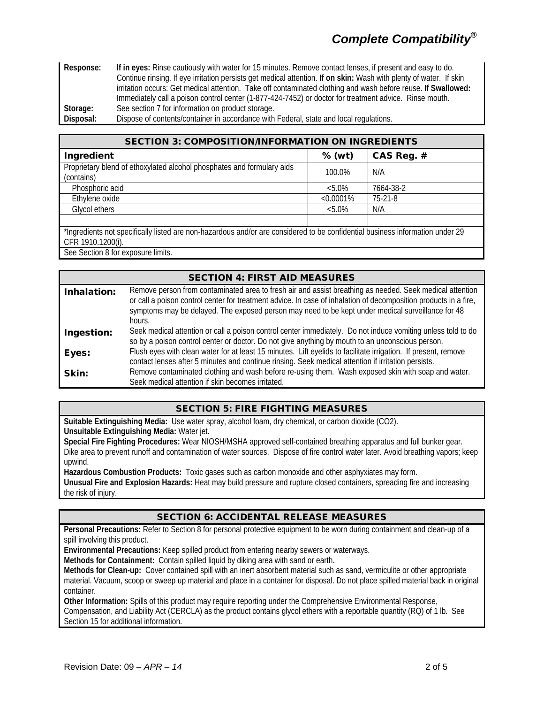# *Complete Compatibility®*

**Response: If in eyes:** Rinse cautiously with water for 15 minutes. Remove contact lenses, if present and easy to do. Continue rinsing. If eye irritation persists get medical attention. **If on skin:** Wash with plenty of water. If skin irritation occurs: Get medical attention. Take off contaminated clothing and wash before reuse. **If Swallowed:** Immediately call a poison control center (1-877-424-7452) or doctor for treatment advice. Rinse mouth. **Storage:** See section 7 for information on product storage.

**Disposal:** Dispose of contents/container in accordance with Federal, state and local regulations.

| <b>SECTION 3: COMPOSITION/INFORMATION ON INGREDIENTS</b>                                                                                           |              |            |  |
|----------------------------------------------------------------------------------------------------------------------------------------------------|--------------|------------|--|
| Ingredient                                                                                                                                         | % (wt)       | CAS Reg. # |  |
| Proprietary blend of ethoxylated alcohol phosphates and formulary aids<br>(contains)                                                               | 100.0%       | N/A        |  |
| Phosphoric acid                                                                                                                                    | $< 5.0\%$    | 7664-38-2  |  |
| Ethylene oxide                                                                                                                                     | $< 0.0001\%$ | $75-21-8$  |  |
| Glycol ethers                                                                                                                                      | $< 5.0\%$    | N/A        |  |
|                                                                                                                                                    |              |            |  |
| *Ingredients not specifically listed are non-hazardous and/or are considered to be confidential business information under 29<br>CFR 1910.1200(i). |              |            |  |

See Section 8 for exposure limits.

#### SECTION 4: FIRST AID MEASURES Inhalation: Remove person from contaminated area to fresh air and assist breathing as needed. Seek medical attention or call a poison control center for treatment advice. In case of inhalation of decomposition products in a fire, symptoms may be delayed. The exposed person may need to be kept under medical surveillance for 48 hours. Ingestion: Seek medical attention or call a poison control center immediately. Do not induce vomiting unless told to do so by a poison control center or doctor. Do not give anything by mouth to an unconscious person. Eyes: Flush eyes with clean water for at least 15 minutes. Lift eyelids to facilitate irrigation. If present, remove contact lenses after 5 minutes and continue rinsing. Seek medical attention if irritation persists. **Skin:** Remove contaminated clothing and wash before re-using them. Wash exposed skin with soap and water. Seek medical attention if skin becomes irritated.

## SECTION 5: FIRE FIGHTING MEASURES

**Suitable Extinguishing Media:** Use water spray, alcohol foam, dry chemical, or carbon dioxide (CO2). **Unsuitable Extinguishing Media:** Water jet.

**Special Fire Fighting Procedures:** Wear NIOSH/MSHA approved self-contained breathing apparatus and full bunker gear. Dike area to prevent runoff and contamination of water sources. Dispose of fire control water later. Avoid breathing vapors; keep upwind.

**Hazardous Combustion Products:** Toxic gases such as carbon monoxide and other asphyxiates may form. **Unusual Fire and Explosion Hazards:** Heat may build pressure and rupture closed containers, spreading fire and increasing the risk of injury.

## SECTION 6: ACCIDENTAL RELEASE MEASURES

**Personal Precautions:** Refer to Section 8 for personal protective equipment to be worn during containment and clean-up of a spill involving this product.

**Environmental Precautions:** Keep spilled product from entering nearby sewers or waterways.

**Methods for Containment:** Contain spilled liquid by diking area with sand or earth.

**Methods for Clean-up:** Cover contained spill with an inert absorbent material such as sand, vermiculite or other appropriate material. Vacuum, scoop or sweep up material and place in a container for disposal. Do not place spilled material back in original container.

**Other Information:** Spills of this product may require reporting under the Comprehensive Environmental Response, Compensation, and Liability Act (CERCLA) as the product contains glycol ethers with a reportable quantity (RQ) of 1 lb. See Section 15 for additional information.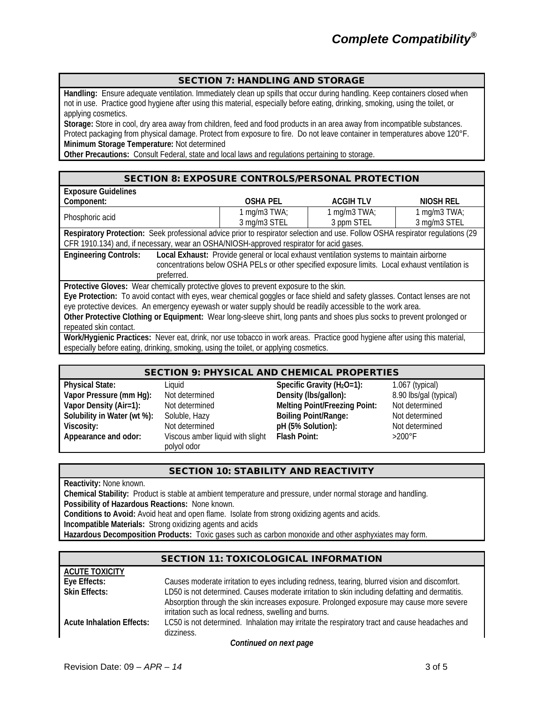#### SECTION 7: HANDLING AND STORAGE

**Handling:** Ensure adequate ventilation. Immediately clean up spills that occur during handling. Keep containers closed when not in use. Practice good hygiene after using this material, especially before eating, drinking, smoking, using the toilet, or applying cosmetics.

**Storage:** Store in cool, dry area away from children, feed and food products in an area away from incompatible substances. Protect packaging from physical damage. Protect from exposure to fire. Do not leave container in temperatures above 120°F. **Minimum Storage Temperature:** Not determined

**Other Precautions:** Consult Federal, state and local laws and regulations pertaining to storage.

#### SECTION 8: EXPOSURE CONTROLS/PERSONAL PROTECTION

| <b>Exposure Guidelines</b>                                                                                                     |                 |                  |                 |  |
|--------------------------------------------------------------------------------------------------------------------------------|-----------------|------------------|-----------------|--|
| Component:                                                                                                                     | <b>OSHA PEL</b> | <b>ACGIH TLV</b> | NIOSH REL       |  |
|                                                                                                                                | 1 mg/m $3$ TWA; | 1 mg/m $3$ TWA;  | 1 mg/m $3$ TWA; |  |
| Phosphoric acid                                                                                                                | 3 mg/m3 STEL    | 3 ppm STEL       | 3 mg/m3 STEL    |  |
| Respiratory Protection: Seek professional advice prior to respirator selection and use. Follow OSHA respirator regulations (29 |                 |                  |                 |  |
| CFR 1910.134) and, if necessary, wear an OSHA/NIOSH-approved respirator for acid gases.                                        |                 |                  |                 |  |
| Local Exhaust: Provide general or local exhaust ventilation systems to maintain airborne<br><b>Engineering Controls:</b>       |                 |                  |                 |  |
| concentrations below OSHA PELs or other specified exposure limits. Local exhaust ventilation is                                |                 |                  |                 |  |
| preferred.                                                                                                                     |                 |                  |                 |  |
| Protective Gloves: Wear chemically protective gloves to prevent exposure to the skin.                                          |                 |                  |                 |  |
| Eye Protection: To avoid contact with eyes, wear chemical goggles or face shield and safety glasses. Contact lenses are not    |                 |                  |                 |  |
| eye protective devices. An emergency eyewash or water supply should be readily accessible to the work area.                    |                 |                  |                 |  |
| Other Protective Clothing or Equipment: Wear long-sleeve shirt, long pants and shoes plus socks to prevent prolonged or        |                 |                  |                 |  |
| repeated skin contact.                                                                                                         |                 |                  |                 |  |

**Work/Hygienic Practices:** Never eat, drink, nor use tobacco in work areas. Practice good hygiene after using this material, especially before eating, drinking, smoking, using the toilet, or applying cosmetics.

#### SECTION 9: PHYSICAL AND CHEMICAL PROPERTIES

| <b>Physical State:</b>      |
|-----------------------------|
| Vapor Pressure (mm Hg):     |
| Vapor Density (Air=1):      |
| Solubility in Water (wt %): |
| <b>Viscosity:</b>           |
| Appearance and odor:        |
|                             |

Viscous amber liquid with slight polyol odor

**Physical State:** Liquid **Specific Gravity (H2O=1):** 1.067 (typical) **Vapor Pressure (mm Hg):** Not determined **Density (lbs/gallon):** 8.90 lbs/gal (typical)<br> **Not determined Melting Point/Freezing Point:** Not determined **Melting Point/Freezing Point:** Not determined Soluble, Hazy **Boiling Point/Range:** Not determined<br>
Not determined **beiling Point/Range:** Not determined **Victor Vietnamined pH** (5% Solution): Not determined **pH** (5% Solution): Not determined **pH** (5% Solution): **Flash Point:** 

## SECTION 10: STABILITY AND REACTIVITY

**Reactivity:** None known.

**Chemical Stability:** Product is stable at ambient temperature and pressure, under normal storage and handling. **Possibility of Hazardous Reactions:** None known.

**Conditions to Avoid:** Avoid heat and open flame. Isolate from strong oxidizing agents and acids.

**Incompatible Materials:** Strong oxidizing agents and acids

**Hazardous Decomposition Products:** Toxic gases such as carbon monoxide and other asphyxiates may form.

|                                  | SECTION TE TOXICOLOGICAL INFORMATION                                                           |
|----------------------------------|------------------------------------------------------------------------------------------------|
| <b>ACUTE TOXICITY</b>            |                                                                                                |
| Eye Effects:                     | Causes moderate irritation to eyes including redness, tearing, blurred vision and discomfort.  |
| <b>Skin Effects:</b>             | LD50 is not determined. Causes moderate irritation to skin including defatting and dermatitis. |
|                                  | Absorption through the skin increases exposure. Prolonged exposure may cause more severe       |
|                                  | irritation such as local redness, swelling and burns.                                          |
| <b>Acute Inhalation Effects:</b> | LC50 is not determined. Inhalation may irritate the respiratory tract and cause headaches and  |
|                                  | dizziness.                                                                                     |
|                                  | Continued on nort none                                                                         |

SECTION 11: TOXICOLOGICAL INFORMATION

*Continued on next page*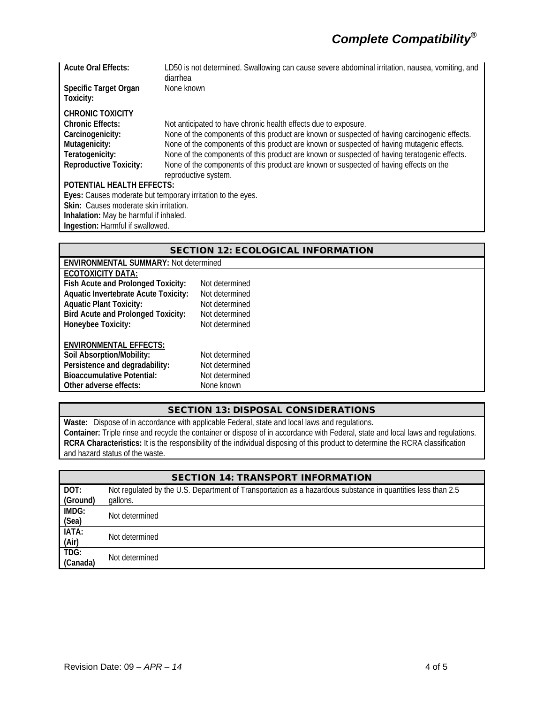| <b>Acute Oral Effects:</b>                                  | LD50 is not determined. Swallowing can cause severe abdominal irritation, nausea, vomiting, and<br>diarrhea |  |  |  |
|-------------------------------------------------------------|-------------------------------------------------------------------------------------------------------------|--|--|--|
| Specific Target Organ<br>Toxicity:                          | None known                                                                                                  |  |  |  |
| <b>CHRONIC TOXICITY</b>                                     |                                                                                                             |  |  |  |
| <b>Chronic Effects:</b>                                     | Not anticipated to have chronic health effects due to exposure.                                             |  |  |  |
| Carcinogenicity:                                            | None of the components of this product are known or suspected of having carcinogenic effects.               |  |  |  |
| Mutagenicity:                                               | None of the components of this product are known or suspected of having mutagenic effects.                  |  |  |  |
| Teratogenicity:                                             | None of the components of this product are known or suspected of having teratogenic effects.                |  |  |  |
| <b>Reproductive Toxicity:</b>                               | None of the components of this product are known or suspected of having effects on the                      |  |  |  |
|                                                             | reproductive system.                                                                                        |  |  |  |
| <b>POTENTIAL HEALTH EFFECTS:</b>                            |                                                                                                             |  |  |  |
| Eyes: Causes moderate but temporary irritation to the eyes. |                                                                                                             |  |  |  |
| Skin: Causes moderate skin irritation.                      |                                                                                                             |  |  |  |
| Inhalation: May be harmful if inhaled.                      |                                                                                                             |  |  |  |
| Ingestion: Harmful if swallowed.                            |                                                                                                             |  |  |  |
|                                                             |                                                                                                             |  |  |  |

| <b>SECTION 12: ECOLOGICAL INFORMATION</b>    |                |  |  |
|----------------------------------------------|----------------|--|--|
| <b>ENVIRONMENTAL SUMMARY: Not determined</b> |                |  |  |
| ECOTOXICITY DATA:                            |                |  |  |
| Fish Acute and Prolonged Toxicity:           | Not determined |  |  |
| <b>Aquatic Invertebrate Acute Toxicity:</b>  | Not determined |  |  |
| <b>Aquatic Plant Toxicity:</b>               | Not determined |  |  |
| <b>Bird Acute and Prolonged Toxicity:</b>    | Not determined |  |  |
| Honeybee Toxicity:                           | Not determined |  |  |
| <b>ENVIRONMENTAL EFFECTS:</b>                |                |  |  |
| Soil Absorption/Mobility:                    | Not determined |  |  |
| Persistence and degradability:               | Not determined |  |  |
| <b>Bioaccumulative Potential:</b>            | Not determined |  |  |
| Other adverse effects:                       | None known     |  |  |
|                                              |                |  |  |

### SECTION 13: DISPOSAL CONSIDERATIONS

**Waste:** Dispose of in accordance with applicable Federal, state and local laws and regulations. **Container:** Triple rinse and recycle the container or dispose of in accordance with Federal, state and local laws and regulations. **RCRA Characteristics:** It is the responsibility of the individual disposing of this product to determine the RCRA classification and hazard status of the waste.

| <b>SECTION 14: TRANSPORT INFORMATION</b> |                                                                                                                         |  |
|------------------------------------------|-------------------------------------------------------------------------------------------------------------------------|--|
| DOT:<br>(Ground)                         | Not regulated by the U.S. Department of Transportation as a hazardous substance in quantities less than 2.5<br>gallons. |  |
| IMDG:                                    |                                                                                                                         |  |
| (Sea)                                    | Not determined                                                                                                          |  |
| IATA:<br>(Air)                           | Not determined                                                                                                          |  |
| TDG:<br>(Canada)                         | Not determined                                                                                                          |  |